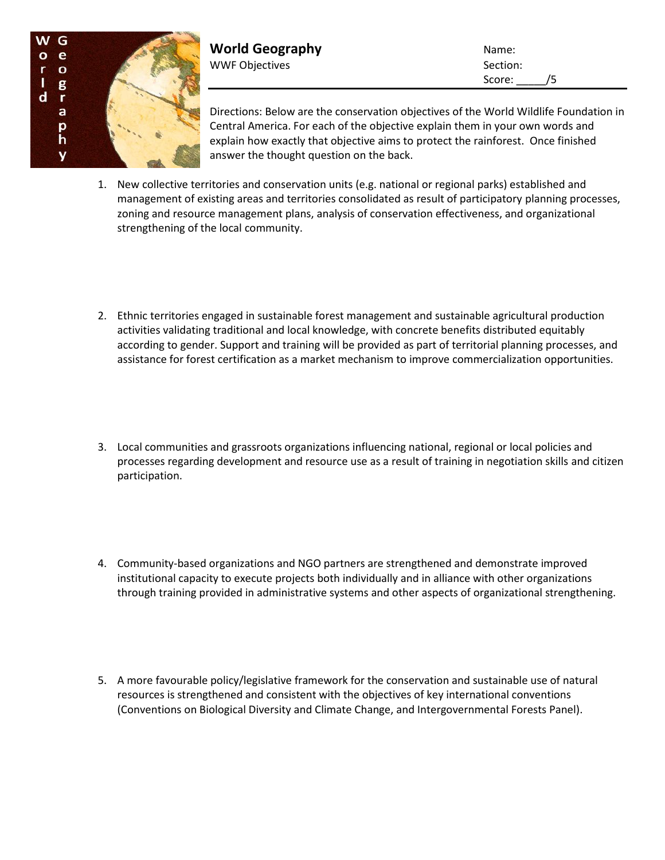

**World Geography** Name: WWF Objectives and the section: Section:

Score: /5

Directions: Below are the conservation objectives of the World Wildlife Foundation in Central America. For each of the objective explain them in your own words and explain how exactly that objective aims to protect the rainforest. Once finished answer the thought question on the back.

- 1. New collective territories and conservation units (e.g. national or regional parks) established and management of existing areas and territories consolidated as result of participatory planning processes, zoning and resource management plans, analysis of conservation effectiveness, and organizational strengthening of the local community.
- 2. Ethnic territories engaged in sustainable forest management and sustainable agricultural production activities validating traditional and local knowledge, with concrete benefits distributed equitably according to gender. Support and training will be provided as part of territorial planning processes, and assistance for forest certification as a market mechanism to improve commercialization opportunities.
- 3. Local communities and grassroots organizations influencing national, regional or local policies and processes regarding development and resource use as a result of training in negotiation skills and citizen participation.
- 4. Community-based organizations and NGO partners are strengthened and demonstrate improved institutional capacity to execute projects both individually and in alliance with other organizations through training provided in administrative systems and other aspects of organizational strengthening.
- 5. A more favourable policy/legislative framework for the conservation and sustainable use of natural resources is strengthened and consistent with the objectives of key international conventions (Conventions on Biological Diversity and Climate Change, and Intergovernmental Forests Panel).